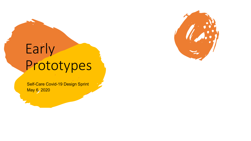# Early Prototypes

Self-Care Covid-19 Design Sprint May 6, 2020

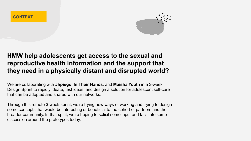

# **HMW help adolescents get access to the sexual and reproductive health information and the support that they need in a physically distant and disrupted world?**

We are collaborating with **Jhpiego**, **In Their Hands**, and **Maisha Youth** in a 3-week Design Sprint to rapidly ideate, test ideas, and design a solution for adolescent self-care that can be adopted and shared with our networks.

Through this remote 3-week sprint, we're trying new ways of working and trying to design some concepts that would be interesting or beneficial to the cohort of partners and the broader community. In that spirit, we're hoping to solicit some input and facilitate some discussion around the prototypes today.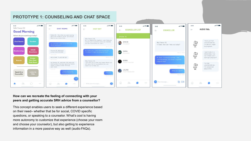

## **PROTOTYPE 1: COUNSELING AND CHAT SPACE**

#### **How can we recreate the feeling of connecting with your peers and getting accurate SRH advice from a counsellor?**

This concept enables users to seek a different experience based on their need– whether that be for social, COVID specific questions, or speaking to a counselor. What's cool is having more autonomy to customize that experience (choose your room and choose your counselor), but also getting to experience information in a more passive way as well (audio FAQs).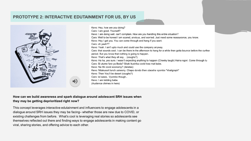## **PROTOTYPE 2: INTERACTIVE EDUTAINMENT FOR US, BY US**



Kevo: Hey, how are you doing? Caro: I am good. Yourself? Kevo: I am doing well. can't complain. How are you handling this entire situation? Caro: Well to be honest I am scared, anxious, and worried. Just need some reassurance, you know. Kevo: Hey I get you. You can come through and hang if you want. Caro: oh yeah?? Kevo: Yeah. I ain't upto much and could use the company anyway. Caro: that sounds cool. I can be there in the afternoon to hang for a while then gotta bounce before the curfew period. But you know that nothing is going to happen. Kevo: That's what they all say... (coughs?) Kevo: Ha ha, yes sure. I wasn't expecting anything to happen (Cheeky laugh) Haina ngori. Come through tu Caro: Si utume fare ya Boda? Sitaki kushika covid kwa mat babe. Kevo: Na Hii covid economy? (deletes) Kevo: Nitakusort lunch usiworry. Chapo dondo then utaosha vyombo \*khaligraph\* Kevo: Then You'll be desert (coughs?) Caro: lol sawa.. Vyombo though.. Kevo: I am kidding babe. (Audience chimes in here)

#### **How can we build awareness and spark dialogue around adolescent SRH issues when they may be getting deprioritized right now?**

This concept leverages interactive edutainment and influencers to engage adolescents in a dialogue around SRH issues they may be facing– whether those are new due to COVID, or existing challenges from before. What's cool is leveraging real stories so adolescents see themselves reflected out there and finding ways to engage adolescents in making content go viral, sharing stories, and offering advice to each other.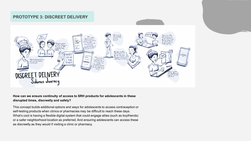### **PROTOTYPE 3: DISCREET DELIVERY**



#### **How can we ensure continuity of access to SRH products for adolescents in these disrupted times, discreetly and safely?**

This concept builds additional options and ways for adolescents to access contraception or self-testing products when clinics or pharmacies may be difficult to reach these days. What's cool is having a flexible digital system that could engage allies (such as boyfriends) or a safer neighborhood location as preferred. And ensuring adolescents can access these as discreetly as they would if visiting a clinic or pharmacy.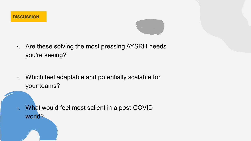

1. Are these solving the most pressing AYSRH needs you're seeing?

1. Which feel adaptable and potentially scalable for your teams?

1. What would feel most salient in a post-COVID world?